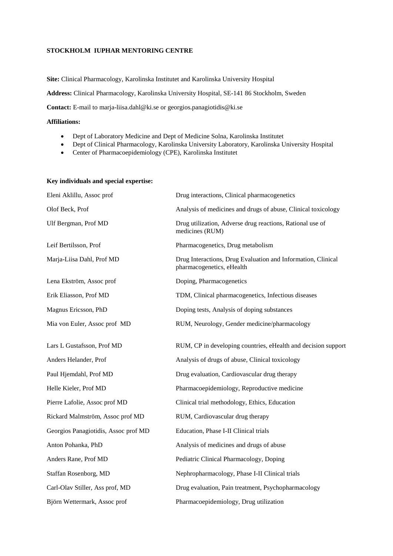## **STOCKHOLM IUPHAR MENTORING CENTRE**

**Site:** Clinical Pharmacology, Karolinska Institutet and Karolinska University Hospital

**Address:** Clinical Pharmacology, Karolinska University Hospital, SE-141 86 Stockholm, Sweden

**Contact:** E-mail to marja-liisa.dahl@ki.se or georgios.panagiotidis@ki.se

# **Affiliations:**

- Dept of Laboratory Medicine and Dept of Medicine Solna, Karolinska Institutet
- Dept of Clinical Pharmacology, Karolinska University Laboratory, Karolinska University Hospital
- Center of Pharmacoepidemiology (CPE), Karolinska Institutet

### **Key individuals and special expertise:**

| Eleni Aklillu, Assoc prof            | Drug interactions, Clinical pharmacogenetics                                              |
|--------------------------------------|-------------------------------------------------------------------------------------------|
| Olof Beck, Prof                      | Analysis of medicines and drugs of abuse, Clinical toxicology                             |
| Ulf Bergman, Prof MD                 | Drug utilization, Adverse drug reactions, Rational use of<br>medicines (RUM)              |
| Leif Bertilsson, Prof                | Pharmacogenetics, Drug metabolism                                                         |
| Marja-Liisa Dahl, Prof MD            | Drug Interactions, Drug Evaluation and Information, Clinical<br>pharmacogenetics, eHealth |
| Lena Ekström, Assoc prof             | Doping, Pharmacogenetics                                                                  |
| Erik Eliasson, Prof MD               | TDM, Clinical pharmacogenetics, Infectious diseases                                       |
| Magnus Ericsson, PhD                 | Doping tests, Analysis of doping substances                                               |
| Mia von Euler, Assoc prof MD         | RUM, Neurology, Gender medicine/pharmacology                                              |
| Lars L Gustafsson, Prof MD           | RUM, CP in developing countries, eHealth and decision support                             |
| Anders Helander, Prof                | Analysis of drugs of abuse, Clinical toxicology                                           |
| Paul Hjemdahl, Prof MD               | Drug evaluation, Cardiovascular drug therapy                                              |
| Helle Kieler, Prof MD                | Pharmacoepidemiology, Reproductive medicine                                               |
| Pierre Lafolie, Assoc prof MD        | Clinical trial methodology, Ethics, Education                                             |
| Rickard Malmström, Assoc prof MD     | RUM, Cardiovascular drug therapy                                                          |
| Georgios Panagiotidis, Assoc prof MD | Education, Phase I-II Clinical trials                                                     |
| Anton Pohanka, PhD                   | Analysis of medicines and drugs of abuse                                                  |
| Anders Rane, Prof MD                 | Pediatric Clinical Pharmacology, Doping                                                   |
| Staffan Rosenborg, MD                | Nephropharmacology, Phase I-II Clinical trials                                            |
| Carl-Olav Stiller, Ass prof, MD      | Drug evaluation, Pain treatment, Psychopharmacology                                       |
| Björn Wettermark, Assoc prof         | Pharmacoepidemiology, Drug utilization                                                    |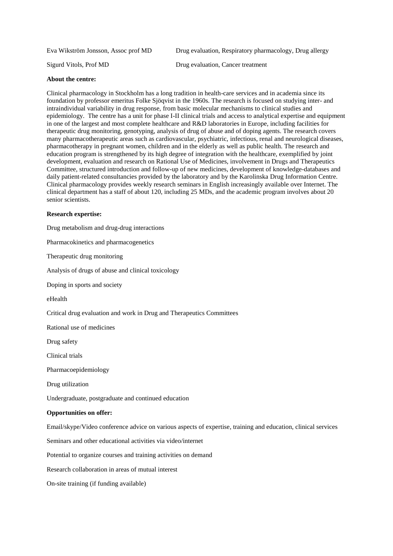Eva Wikström Jonsson, Assoc prof MD Drug evaluation, Respiratory pharmacology, Drug allergy

Sigurd Vitols, Prof MD Drug evaluation, Cancer treatment

#### **About the centre:**

Clinical pharmacology in Stockholm has a long tradition in health-care services and in academia since its foundation by professor emeritus Folke Sjöqvist in the 1960s. The research is focused on studying inter- and intraindividual variability in drug response, from basic molecular mechanisms to clinical studies and epidemiology. The centre has a unit for phase I-II clinical trials and access to analytical expertise and equipment in one of the largest and most complete healthcare and R&D laboratories in Europe, including facilities for therapeutic drug monitoring, genotyping, analysis of drug of abuse and of doping agents. The research covers many pharmacotherapeutic areas such as cardiovascular, psychiatric, infectious, renal and neurological diseases, pharmacotherapy in pregnant women, children and in the elderly as well as public health. The research and education program is strengthened by its high degree of integration with the healthcare, exemplified by joint development, evaluation and research on Rational Use of Medicines, involvement in Drugs and Therapeutics Committee, structured introduction and follow-up of new medicines, development of knowledge-databases and daily patient-related consultancies provided by the laboratory and by the Karolinska Drug Information Centre. Clinical pharmacology provides weekly research seminars in English increasingly available over Internet. The clinical department has a staff of about 120, including 25 MDs, and the academic program involves about 20 senior scientists.

#### **Research expertise:**

Drug metabolism and drug-drug interactions

Pharmacokinetics and pharmacogenetics

Therapeutic drug monitoring

Analysis of drugs of abuse and clinical toxicology

Doping in sports and society

eHealth

Critical drug evaluation and work in Drug and Therapeutics Committees

Rational use of medicines

Drug safety

Clinical trials

Pharmacoepidemiology

Drug utilization

Undergraduate, postgraduate and continued education

#### **Opportunities on offer:**

Email/skype/Video conference advice on various aspects of expertise, training and education, clinical services

Seminars and other educational activities via video/internet

Potential to organize courses and training activities on demand

Research collaboration in areas of mutual interest

On-site training (if funding available)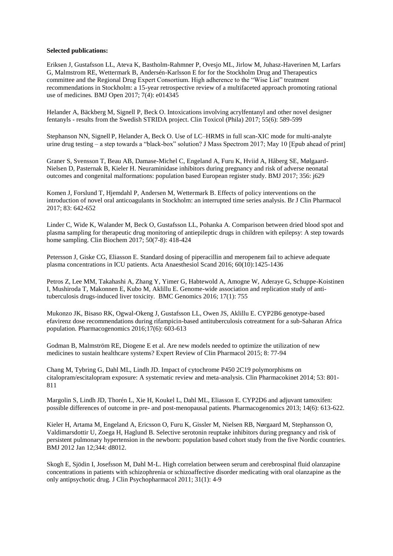### **Selected publications:**

Eriksen J, Gustafsson LL, Ateva K, Bastholm-Rahmner P, Ovesjo ML, Jirlow M, Juhasz-Haverinen M, Larfars G, Malmstrom RE, Wettermark B, Andersén-Karlsson E for for the Stockholm Drug and Therapeutics committee and the Regional Drug Expert Consortium. High adherence to the "Wise List" treatment recommendations in Stockholm: a 15-year retrospective review of a multifaceted approach promoting rational use of medicines*.* BMJ Open 2017; 7(4): e014345

Helander A, Bäckberg M, Signell P, Beck O. Intoxications involving acrylfentanyl and other novel designer fentanyls - results from the Swedish STRIDA project. Clin Toxicol (Phila) 2017; 55(6): 589-599

Stephanson NN, Signell P, Helander A, Beck O. Use of LC–HRMS in full scan-XIC mode for multi-analyte urine drug testing – a step towards a "black-box" solution? J Mass Spectrom 2017; May 10 [Epub ahead of print]

Graner S, Svensson T, Beau AB, Damase-Michel C, Engeland A, Furu K, Hviid A, Håberg SE, Mølgaard-Nielsen D, Pasternak B, Kieler H. Neuraminidase inhibitors during pregnancy and risk of adverse neonatal outcomes and congenital malformations: population based European register study. BMJ 2017; 356: j629

Komen J, Forslund T, Hjemdahl P, Andersen M, Wettermark B. Effects of policy interventions on the introduction of novel oral anticoagulants in Stockholm: an interrupted time series analysis. Br J Clin Pharmacol 2017; 83: 642-652

Linder C, Wide K, Walander M, Beck O, Gustafsson LL, Pohanka A. Comparison between dried blood spot and plasma sampling for therapeutic drug monitoring of antiepileptic drugs in children with epilepsy: A step towards home sampling. Clin Biochem 2017; 50(7-8): 418-424

Petersson J, Giske CG, Eliasson E. Standard dosing of piperacillin and meropenem fail to achieve adequate plasma concentrations in ICU patients. Acta Anaesthesiol Scand 2016; 60(10):1425-1436

Petros Z, Lee MM, Takahashi A, Zhang Y, Yimer G, Habtewold A, Amogne W, Aderaye G, Schuppe-Koistinen I, Mushiroda T, Makonnen E, Kubo M, Aklillu E. Genome-wide association and replication study of antituberculosis drugs-induced liver toxicity. BMC Genomics 2016; 17(1): 755

Mukonzo JK, Bisaso RK, Ogwal-Okeng J, Gustafsson LL, Owen JS, Aklillu E. CYP2B6 genotype-based efavirenz dose recommendations during rifampicin-based antituberculosis cotreatment for a sub-Saharan Africa population. Pharmacogenomics 2016;17(6): 603-613

Godman B, Malmström RE, Diogene E et al. Are new models needed to optimize the utilization of new medicines to sustain healthcare systems? Expert Review of Clin Pharmacol 2015; 8: 77-94

Chang M, Tybring G, Dahl ML, Lindh JD. Impact of cytochrome P450 2C19 polymorphisms on citalopram/escitalopram exposure: A systematic review and meta-analysis. Clin Pharmacokinet 2014; 53: 801- 811

Margolin S, Lindh JD, Thorén L, Xie H, Koukel L, Dahl ML, Eliasson E. CYP2D6 and adjuvant tamoxifen: possible differences of outcome in pre- and post-menopausal patients. Pharmacogenomics 2013; 14(6): 613-622.

Kieler H, Artama M, Engeland A, Ericsson O, Furu K, Gissler M, Nielsen RB, Nørgaard M, Stephansson O, Valdimarsdottir U, Zoega H, Haglund B. Selective serotonin reuptake inhibitors during pregnancy and risk of persistent pulmonary hypertension in the newborn: population based cohort study from the five Nordic countries. BMJ 2012 Jan 12;344: d8012.

Skogh E, Sjödin I, Josefsson M, Dahl M-L. High correlation between serum and cerebrospinal fluid olanzapine concentrations in patients with schizophrenia or schizoaffective disorder medicating with oral olanzapine as the only antipsychotic drug. J Clin Psychopharmacol 2011; 31(1): 4-9